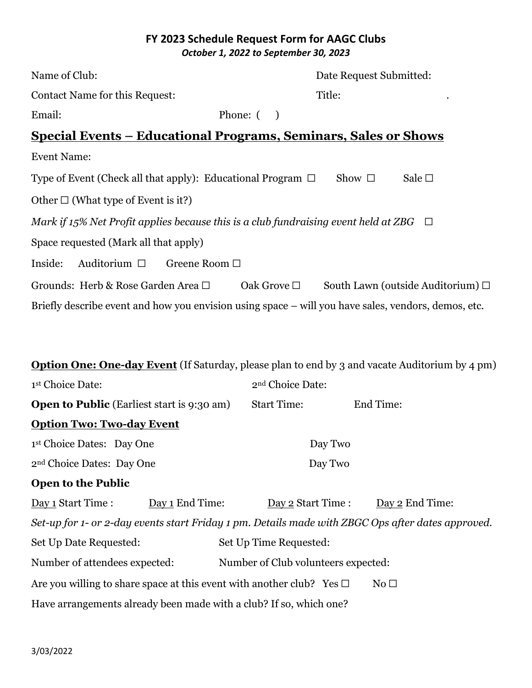#### **FY 2023 Schedule Request Form for AAGC Clubs** *October 1, 2022 to September 30, 2023*

| Name of Club:                                                                                         |                                     | Date Request Submitted: |                                           |  |
|-------------------------------------------------------------------------------------------------------|-------------------------------------|-------------------------|-------------------------------------------|--|
| <b>Contact Name for this Request:</b>                                                                 |                                     | Title:                  |                                           |  |
| Email:                                                                                                | Phone: $($ )                        |                         |                                           |  |
| <u> Special Events – Educational Programs, Seminars, Sales or Shows</u>                               |                                     |                         |                                           |  |
| <b>Event Name:</b>                                                                                    |                                     |                         |                                           |  |
| Type of Event (Check all that apply): Educational Program $\Box$ Show $\Box$                          |                                     |                         | Sale $\square$                            |  |
| Other $\square$ (What type of Event is it?)                                                           |                                     |                         |                                           |  |
| Mark if 15% Net Profit applies because this is a club fundraising event held at ZBG $\Box$            |                                     |                         |                                           |  |
| Space requested (Mark all that apply)                                                                 |                                     |                         |                                           |  |
| Auditorium $\Box$<br>Inside:                                                                          | Greene Room □                       |                         |                                           |  |
| Grounds: Herb & Rose Garden Area □                                                                    | Oak Grove $\Box$                    |                         | South Lawn (outside Auditorium) $\square$ |  |
| Briefly describe event and how you envision using space – will you have sales, vendors, demos, etc.   |                                     |                         |                                           |  |
|                                                                                                       |                                     |                         |                                           |  |
| <b>Option One: One-day Event</b> (If Saturday, please plan to end by 3 and vacate Auditorium by 4 pm) |                                     |                         |                                           |  |
| 1st Choice Date:                                                                                      | 2 <sup>nd</sup> Choice Date:        |                         |                                           |  |
| <b>Open to Public</b> (Earliest start is 9:30 am)                                                     | <b>Start Time:</b>                  | End Time:               |                                           |  |
| <b>Option Two: Two-day Event</b>                                                                      |                                     |                         |                                           |  |
| 1st Choice Dates: Day One                                                                             |                                     | Day Two                 |                                           |  |
| 2 <sup>nd</sup> Choice Dates: Day One                                                                 |                                     | Day Two                 |                                           |  |
| <b>Open to the Public</b>                                                                             |                                     |                         |                                           |  |
| Day 1 Start Time :<br>Day 1 End Time:                                                                 | Day 2 Start Time :                  |                         | Day 2 End Time:                           |  |
| Set-up for 1- or 2-day events start Friday 1 pm. Details made with ZBGC Ops after dates approved.     |                                     |                         |                                           |  |
| Set Up Date Requested:                                                                                | Set Up Time Requested:              |                         |                                           |  |
| Number of attendees expected:                                                                         | Number of Club volunteers expected: |                         |                                           |  |
| Are you willing to share space at this event with another club? Yes $\Box$                            |                                     | No <sub>1</sub>         |                                           |  |
| Have arrangements already been made with a club? If so, which one?                                    |                                     |                         |                                           |  |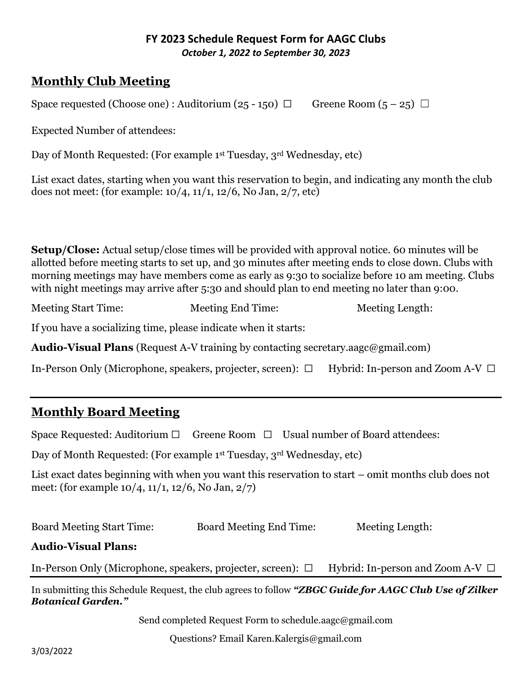#### **FY 2023 Schedule Request Form for AAGC Clubs** *October 1, 2022 to September 30, 2023*

# **Monthly Club Meeting**

Space requested (Choose one) : Auditorium (25 - 150)  $\Box$  Greene Room (5 - 25)  $\Box$ 

Expected Number of attendees:

Day of Month Requested: (For example 1<sup>st</sup> Tuesday, 3<sup>rd</sup> Wednesday, etc)

List exact dates, starting when you want this reservation to begin, and indicating any month the club does not meet: (for example:  $10/4$ ,  $11/1$ ,  $12/6$ , No Jan,  $2/7$ , etc)

**Setup/Close:** Actual setup/close times will be provided with approval notice. 60 minutes will be allotted before meeting starts to set up, and 30 minutes after meeting ends to close down. Clubs with morning meetings may have members come as early as 9:30 to socialize before 10 am meeting. Clubs with night meetings may arrive after 5:30 and should plan to end meeting no later than 9:00.

Meeting Start Time: Meeting End Time: Meeting Length:

If you have a socializing time, please indicate when it starts:

**Audio-Visual Plans** (Request A-V training by contacting secretary.aagc@gmail.com)

In-Person Only (Microphone, speakers, projecter, screen): ☐ Hybrid: In-person and Zoom A-V ☐

# **Monthly Board Meeting**

Space Requested: Auditorium  $\Box$  Greene Room  $\Box$  Usual number of Board attendees:

Day of Month Requested: (For example 1st Tuesday, 3rd Wednesday, etc)

List exact dates beginning with when you want this reservation to start – omit months club does not meet: (for example 10/4, 11/1, 12/6, No Jan, 2/7)

Board Meeting Start Time: Board Meeting End Time: Meeting Length:

#### **Audio-Visual Plans:**

In-Person Only (Microphone, speakers, projecter, screen): □ Hybrid: In-person and Zoom A-V □

In submitting this Schedule Request, the club agrees to follow *"ZBGC Guide for AAGC Club Use of Zilker Botanical Garden."*

Send completed Request Form to schedule[.aagc@gmail.com](mailto:aagc@gmail.com)

Questions? Email Karen.Kalergis@gmail.com